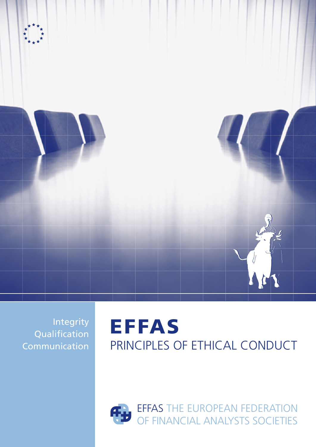

Integrity Qualification Communication

# EFFAS PRINCIPLES OF ETHICAL CONDUCT

EFFAS THE EUROPEAN FEDERATION OF FINANCIAL ANALYSTS SOCIETIES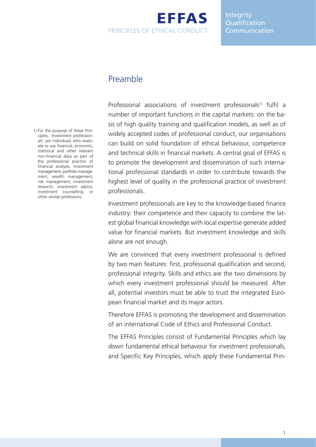# EFFAS Principles of Ethical Conduct

#### Integrity **Oualification** Communication

## Preamble

Professional associations of investment professionals<sup>1)</sup> fulfil a number of important functions in the capital markets: on the basis of high quality training and qualification models, as well as of widely accepted codes of professional conduct, our organisations can build on solid foundation of ethical behaviour, competence and technical skills in financial markets. A central goal of EFFAS is to promote the development and dissemination of such international professional standards in order to contribute towards the highest level of quality in the professional practice of investment professionals.

Investment professionals are key to the knowledge-based finance industry: their competence and their capacity to combine the latest global financial knowledge with local expertise generate added value for financial markets. But investment knowledge and skills alone are not enough.

We are convinced that every investment professional is defined by two main features: first, professional qualification and second, professional integrity. Skills and ethics are the two dimensions by which every investment professional should be measured. After all, potential investors must be able to trust the integrated European financial market and its major actors.

Therefore EFFAS is promoting the development and dissemination of an international Code of Ethics and Professional Conduct.

The EFFAS Principles consist of Fundamental Principles which lay down fundamental ethical behaviour for investment professionals, and Specific Key Principles, which apply these Fundamental Prin-

1) For the purpose of these Principles, 'Investment professionals' are individuals who evaluate or use financial, economic, statistical and other relevant non-financial data as part of the professional practice of financial analysis, investment management, portfolio management, wealth management, risk management, investment research, investment advice, investment counselling, or other similar professions.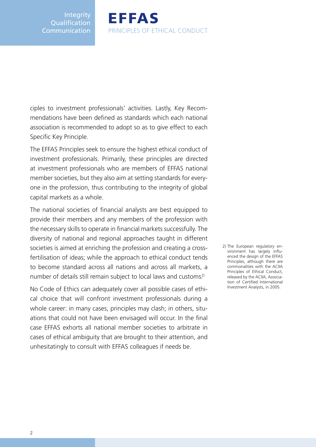Integrity **Qualification** Communication

ciples to investment professionals' activities. Lastly, Key Recommendations have been defined as standards which each national association is recommended to adopt so as to give effect to each Specific Key Principle.

EFFAS

Principles of Ethical Conduct

The EFFAS Principles seek to ensure the highest ethical conduct of investment professionals. Primarily, these principles are directed at investment professionals who are members of EFFAS national member societies, but they also aim at setting standards for everyone in the profession, thus contributing to the integrity of global capital markets as a whole.

The national societies of financial analysts are best equipped to provide their members and any members of the profession with the necessary skills to operate in financial markets successfully. The diversity of national and regional approaches taught in different societies is aimed at enriching the profession and creating a crossfertilisation of ideas; while the approach to ethical conduct tends to become standard across all nations and across all markets, a number of details still remain subject to local laws and customs.<sup>2)</sup>

No Code of Ethics can adequately cover all possible cases of ethical choice that will confront investment professionals during a whole career: in many cases, principles may clash; in others, situations that could not have been envisaged will occur. In the final case EFFAS exhorts all national member societies to arbitrate in cases of ethical ambiguity that are brought to their attention, and unhesitatingly to consult with EFFAS colleagues if needs be.

2) The European regulatory environment has largely influenced the design of the EFFAS Principles, although there are commonalities with the ACIIA Principles of Ethical Conduct, released by the ACIIA, Association of Certified International Investment Analysts, in 2005.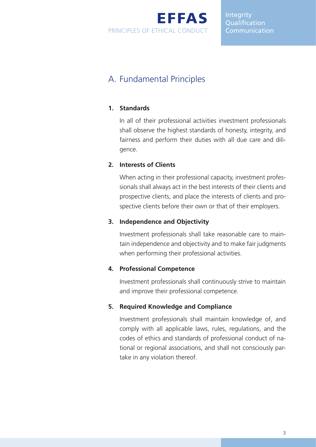EFFAS Principles of Ethical Conduct

Integrity **Oualification Communication** 

# A. Fundamental Principles

#### **1. Standards**

In all of their professional activities investment professionals shall observe the highest standards of honesty, integrity, and fairness and perform their duties with all due care and diligence.

#### **2. Interests of Clients**

When acting in their professional capacity, investment professionals shall always act in the best interests of their clients and prospective clients, and place the interests of clients and prospective clients before their own or that of their employers.

#### **3. Independence and Objectivity**

Investment professionals shall take reasonable care to maintain independence and objectivity and to make fair judgments when performing their professional activities.

#### **4. Professional Competence**

Investment professionals shall continuously strive to maintain and improve their professional competence.

#### **5. Required Knowledge and Compliance**

Investment professionals shall maintain knowledge of, and comply with all applicable laws, rules, regulations, and the codes of ethics and standards of professional conduct of national or regional associations, and shall not consciously partake in any violation thereof.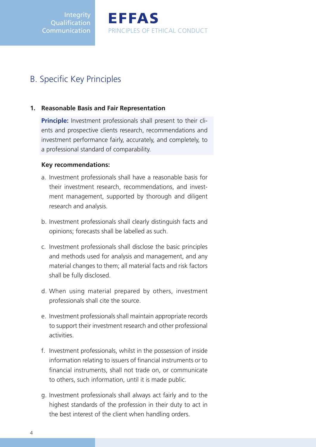**Integrity Oualification Communication**  EFFAS Principles of Ethical Conduct

# B. Specific Key Principles

#### **1. Reasonable Basis and Fair Representation**

**Principle:** Investment professionals shall present to their clients and prospective clients research, recommendations and investment performance fairly, accurately, and completely, to a professional standard of comparability.

#### **Key recommendations:**

- a. Investment professionals shall have a reasonable basis for their investment research, recommendations, and investment management, supported by thorough and diligent research and analysis.
- b. Investment professionals shall clearly distinguish facts and opinions; forecasts shall be labelled as such.
- c. Investment professionals shall disclose the basic principles and methods used for analysis and management, and any material changes to them; all material facts and risk factors shall be fully disclosed.
- d. When using material prepared by others, investment professionals shall cite the source.
- e. Investment professionals shall maintain appropriate records to support their investment research and other professional activities.
- f. Investment professionals, whilst in the possession of inside information relating to issuers of financial instruments or to financial instruments, shall not trade on, or communicate to others, such information, until it is made public.
- g. Investment professionals shall always act fairly and to the highest standards of the profession in their duty to act in the best interest of the client when handling orders.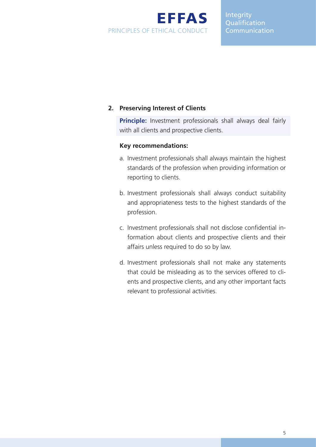

#### Integrity Qualification **Communication**

#### **2. Preserving Interest of Clients**

**Principle:** Investment professionals shall always deal fairly with all clients and prospective clients.

#### **Key recommendations:**

- a. Investment professionals shall always maintain the highest standards of the profession when providing information or reporting to clients.
- b. Investment professionals shall always conduct suitability and appropriateness tests to the highest standards of the profession.
- c. Investment professionals shall not disclose confidential information about clients and prospective clients and their affairs unless required to do so by law.
- d. Investment professionals shall not make any statements that could be misleading as to the services offered to clients and prospective clients, and any other important facts relevant to professional activities.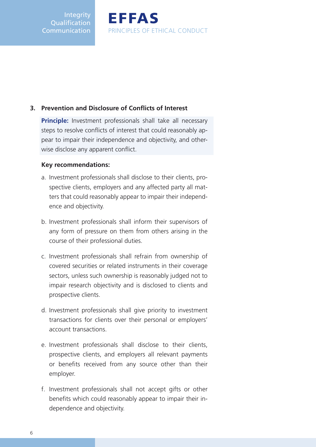**Integrity Oualification** Communication

#### **3. Prevention and Disclosure of Conflicts of Interest**

**Principle:** Investment professionals shall take all necessary steps to resolve conflicts of interest that could reasonably appear to impair their independence and objectivity, and otherwise disclose any apparent conflict.

EFFAS

Principles of Ethical Conduct

#### **Key recommendations:**

- a. Investment professionals shall disclose to their clients, prospective clients, employers and any affected party all matters that could reasonably appear to impair their independence and objectivity.
- b. Investment professionals shall inform their supervisors of any form of pressure on them from others arising in the course of their professional duties.
- c. Investment professionals shall refrain from ownership of covered securities or related instruments in their coverage sectors, unless such ownership is reasonably judged not to impair research objectivity and is disclosed to clients and prospective clients.
- d. Investment professionals shall give priority to investment transactions for clients over their personal or employers' account transactions.
- e. Investment professionals shall disclose to their clients, prospective clients, and employers all relevant payments or benefits received from any source other than their employer.
- f. Investment professionals shall not accept gifts or other benefits which could reasonably appear to impair their independence and objectivity.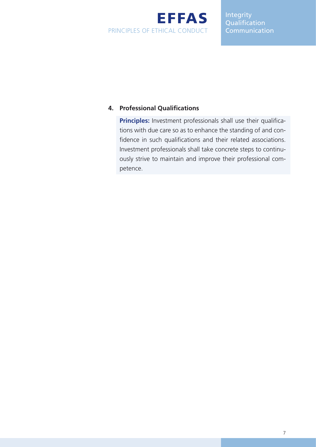

Integrity **Qualification Communication** 

#### **4. Professional Qualifications**

**Principles:** Investment professionals shall use their qualifications with due care so as to enhance the standing of and confidence in such qualifications and their related associations. Investment professionals shall take concrete steps to continuously strive to maintain and improve their professional competence.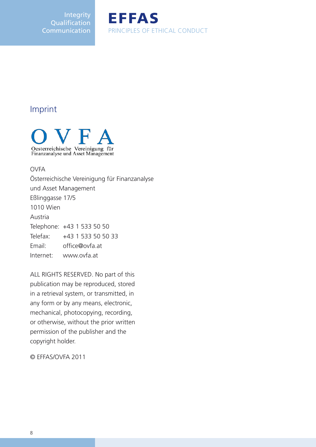Integrity **Qualification Communication** 



### Imprint



#### OVFA

Österreichische Vereinigung für Finanzanalyse und Asset Management Eßlinggasse 17/5 1010 Wien Austria Telephone: +43 1 533 50 50 Telefax: +43 1 533 50 50 33 Email: office@ovfa.at Internet: www.ovfa.at

ALL RIGHTS RESERVED. No part of this publication may be reproduced, stored in a retrieval system, or transmitted, in any form or by any means, electronic, mechanical, photocopying, recording, or otherwise, without the prior written permission of the publisher and the copyright holder.

© EFFAS/OVFA 2011